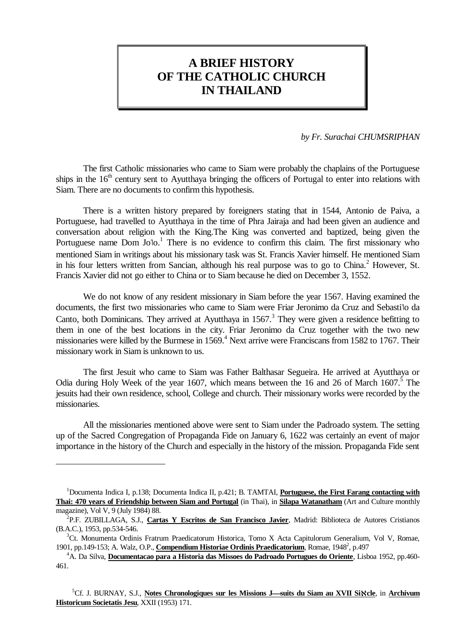# **A BRIEF HISTORY OF THE CATHOLIC CHURCH IN THAILAND**

*by Fr. Surachai CHUMSRIPHAN*

The first Catholic missionaries who came to Siam were probably the chaplains of the Portuguese ships in the  $16<sup>th</sup>$  century sent to Ayutthaya bringing the officers of Portugal to enter into relations with Siam. There are no documents to confirm this hypothesis.

There is a written history prepared by foreigners stating that in 1544, Antonio de Paiva, a Portuguese, had travelled to Ayutthaya in the time of Phra Jairaja and had been given an audience and conversation about religion with the King.The King was converted and baptized, being given the Portuguese name Dom Jolo.<sup>1</sup> There is no evidence to confirm this claim. The first missionary who mentioned Siam in writings about his missionary task was St. Francis Xavier himself. He mentioned Siam in his four letters written from Sancian, although his real purpose was to go to China.<sup>2</sup> However, St. Francis Xavier did not go either to China or to Siam because he died on December 3, 1552.

We do not know of any resident missionary in Siam before the year 1567. Having examined the documents, the first two missionaries who came to Siam were Friar Jeronimo da Cruz and Sebastiใo da Canto, both Dominicans. They arrived at Ayutthaya in  $1567$ .<sup>3</sup> They were given a residence befitting to them in one of the best locations in the city. Friar Jeronimo da Cruz together with the two new missionaries were killed by the Burmese in  $1569<sup>4</sup>$  Next arrive were Franciscans from 1582 to 1767. Their missionary work in Siam is unknown to us.

The first Jesuit who came to Siam was Father Balthasar Segueira. He arrived at Ayutthaya or Odia during Holy Week of the year 1607, which means between the 16 and 26 of March  $1607$ .<sup>5</sup> The jesuits had their own residence, school, College and church. Their missionary works were recorded by the missionaries.

All the missionaries mentioned above were sent to Siam under the Padroado system. The setting up of the Sacred Congregation of Propaganda Fide on January 6, 1622 was certainly an event of major importance in the history of the Church and especially in the history of the mission. Propaganda Fide sent

a<br>B

<sup>1</sup>Documenta Indica I, p.138; Documenta Indica II, p.421; B. TAMTAI, **Portuguese, the First Farang contacting with Thai: 470 years of Friendship between Siam and Portugal** (in Thai), in **Silapa Watanatham** (Art and Culture monthly magazine), Vol V, 9 (July 1984) 88.

<sup>2</sup> P.F. ZUBILLAGA, S.J., **Cartas Y Escritos de San Francisco Javier**, Madrid: Biblioteca de Autores Cristianos (B.A.C.), 1953, pp.534-546.

<sup>&</sup>lt;sup>3</sup>Ct. Monumenta Ordinis Fratrum Praedicatorum Historica, Tomo X Acta Capitulorum Generalium, Vol V, Romae, 1901, pp.149-153; A. Walz, O.P., *Compendium Historiae Ordinis Praedicatorium*, Romae, 1948<sup>2</sup>, p.497

<sup>4</sup>A. Da Silva, **Documentacao para a Historia das Missoes do Padroado Portugues do Oriente**, Lisboa 1952, pp.460- 461.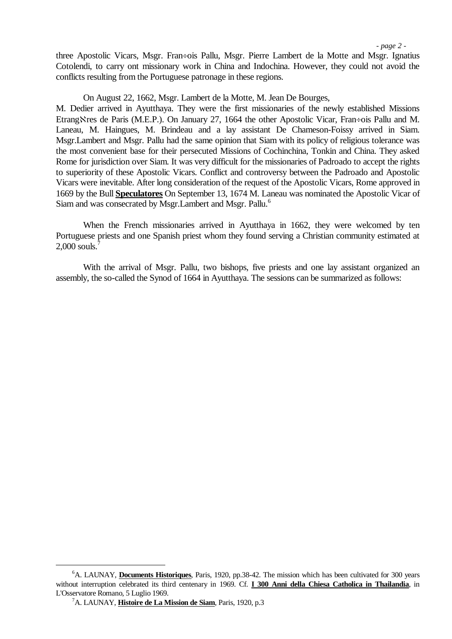*- page 2 -*

three Apostolic Vicars, Msgr. Fran÷ois Pallu, Msgr. Pierre Lambert de la Motte and Msgr. Ignatius Cotolendi, to carry ont missionary work in China and Indochina. However, they could not avoid the conflicts resulting from the Portuguese patronage in these regions.

On August 22, 1662, Msgr. Lambert de la Motte, M. Jean De Bourges,

M. Dedier arrived in Ayutthaya. They were the first missionaries of the newly established Missions Etrang Stres de Paris (M.E.P.). On January 27, 1664 the other Apostolic Vicar, Fran÷ois Pallu and M. Laneau, M. Haingues, M. Brindeau and a lay assistant De Chameson-Foissy arrived in Siam. Msgr.Lambert and Msgr. Pallu had the same opinion that Siam with its policy of religious tolerance was the most convenient base for their persecuted Missions of Cochinchina, Tonkin and China. They asked Rome for jurisdiction over Siam. It was very difficult for the missionaries of Padroado to accept the rights to superiority of these Apostolic Vicars. Conflict and controversy between the Padroado and Apostolic Vicars were inevitable. After long consideration of the request of the Apostolic Vicars, Rome approved in 1669 by the Bull **Speculatores** On September 13, 1674 M. Laneau was nominated the Apostolic Vicar of Siam and was consecrated by Msgr.Lambert and Msgr. Pallu.<sup>6</sup>

When the French missionaries arrived in Ayutthaya in 1662, they were welcomed by ten Portuguese priests and one Spanish priest whom they found serving a Christian community estimated at 2,000 souls. $^7$ 

With the arrival of Msgr. Pallu, two bishops, five priests and one lay assistant organized an assembly, the so-called the Synod of 1664 in Ayutthaya. The sessions can be summarized as follows:

a<br>B

<sup>6</sup>A. LAUNAY, **Documents Historiques**, Paris, 1920, pp.38-42. The mission which has been cultivated for 300 years without interruption celebrated its third centenary in 1969. Cf. **I 300 Anni della Chiesa Catholica in Thailandia**, in L'Osservatore Romano, 5 Luglio 1969.

<sup>7</sup>A. LAUNAY, **Histoire de La Mission de Siam**, Paris, 1920, p.3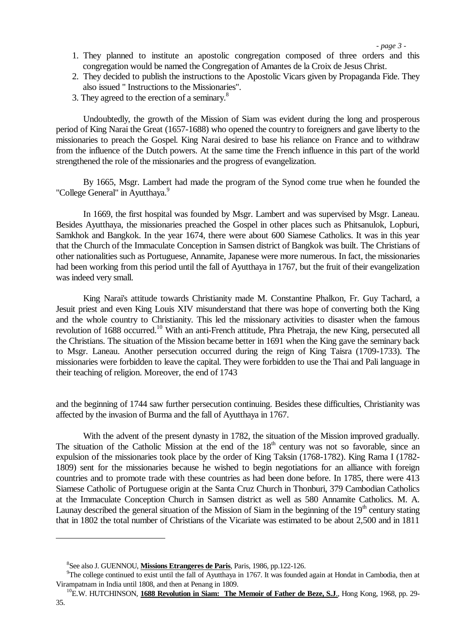*- page 3 -*

- 1. They planned to institute an apostolic congregation composed of three orders and this congregation would be named the Congregation of Amantes de la Croix de Jesus Christ.
- 2. They decided to publish the instructions to the Apostolic Vicars given by Propaganda Fide. They also issued " Instructions to the Missionaries".
- 3. They agreed to the erection of a seminary.<sup>8</sup>

Undoubtedly, the growth of the Mission of Siam was evident during the long and prosperous period of King Narai the Great (1657-1688) who opened the country to foreigners and gave liberty to the missionaries to preach the Gospel. King Narai desired to base his reliance on France and to withdraw from the influence of the Dutch powers. At the same time the French influence in this part of the world strengthened the role of the missionaries and the progress of evangelization.

By 1665, Msgr. Lambert had made the program of the Synod come true when he founded the "College General" in Ayutthaya.<sup>9</sup>

In 1669, the first hospital was founded by Msgr. Lambert and was supervised by Msgr. Laneau. Besides Ayutthaya, the missionaries preached the Gospel in other places such as Phitsanulok, Lopburi, Samkhok and Bangkok. In the year 1674, there were about 600 Siamese Catholics. It was in this year that the Church of the Immaculate Conception in Samsen district of Bangkok was built. The Christians of other nationalities such as Portuguese, Annamite, Japanese were more numerous. In fact, the missionaries had been working from this period until the fall of Ayutthaya in 1767, but the fruit of their evangelization was indeed very small.

King Narai's attitude towards Christianity made M. Constantine Phalkon, Fr. Guy Tachard, a Jesuit priest and even King Louis XIV misunderstand that there was hope of converting both the King and the whole country to Christianity. This led the missionary activities to disaster when the famous revolution of 1688 occurred.<sup>10</sup> With an anti-French attitude, Phra Phetraja, the new King, persecuted all the Christians. The situation of the Mission became better in 1691 when the King gave the seminary back to Msgr. Laneau. Another persecution occurred during the reign of King Taisra (1709-1733). The missionaries were forbidden to leave the capital. They were forbidden to use the Thai and Pali language in their teaching of religion. Moreover, the end of 1743

and the beginning of 1744 saw further persecution continuing. Besides these difficulties, Christianity was affected by the invasion of Burma and the fall of Ayutthaya in 1767.

With the advent of the present dynasty in 1782, the situation of the Mission improved gradually. The situation of the Catholic Mission at the end of the  $18<sup>th</sup>$  century was not so favorable, since an expulsion of the missionaries took place by the order of King Taksin (1768-1782). King Rama I (1782- 1809) sent for the missionaries because he wished to begin negotiations for an alliance with foreign countries and to promote trade with these countries as had been done before. In 1785, there were 413 Siamese Catholic of Portuguese origin at the Santa Cruz Church in Thonburi, 379 Cambodian Catholics at the Immaculate Conception Church in Samsen district as well as 580 Annamite Catholics. M. A. Launay described the general situation of the Mission of Siam in the beginning of the  $19<sup>th</sup>$  century stating that in 1802 the total number of Christians of the Vicariate was estimated to be about 2,500 and in 1811

a<br>B

<sup>8</sup> See also J. GUENNOU, **Missions Etrangeres de Paris**, Paris, 1986, pp.122-126.

<sup>&</sup>lt;sup>9</sup>The college continued to exist until the fall of Ayutthaya in 1767. It was founded again at Hondat in Cambodia, then at Virampatnam in India until 1808, and then at Penang in 1809.

<sup>&</sup>lt;sup>10</sup>E.W. HUTCHINSON, **1688 Revolution in Siam: The Memoir of Father de Beze, S.J.**, Hong Kong, 1968, pp. 29-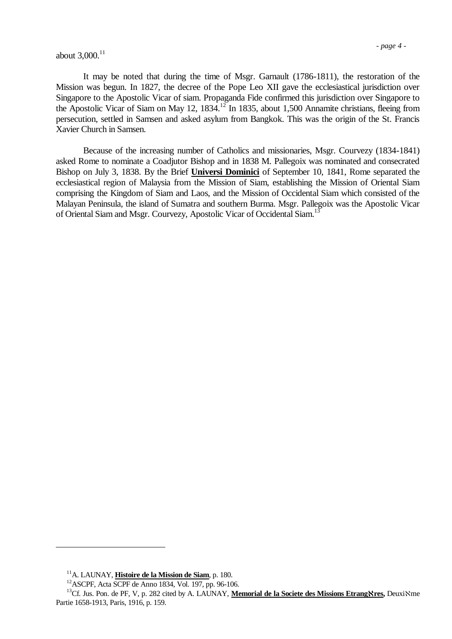# about  $3,000^{11}$

It may be noted that during the time of Msgr. Garnault (1786-1811), the restoration of the Mission was begun. In 1827, the decree of the Pope Leo XII gave the ecclesiastical jurisdiction over Singapore to the Apostolic Vicar of siam. Propaganda Fide confirmed this jurisdiction over Singapore to the Apostolic Vicar of Siam on May 12, 1834.<sup>12</sup> In 1835, about 1,500 Annamite christians, fleeing from persecution, settled in Samsen and asked asylum from Bangkok. This was the origin of the St. Francis Xavier Church in Samsen.

Because of the increasing number of Catholics and missionaries, Msgr. Courvezy (1834-1841) asked Rome to nominate a Coadjutor Bishop and in 1838 M. Pallegoix was nominated and consecrated Bishop on July 3, 1838. By the Brief **Universi Dominici** of September 10, 1841, Rome separated the ecclesiastical region of Malaysia from the Mission of Siam, establishing the Mission of Oriental Siam comprising the Kingdom of Siam and Laos, and the Mission of Occidental Siam which consisted of the Malayan Peninsula, the island of Sumatra and southern Burma. Msgr. Pallegoix was the Apostolic Vicar of Oriental Siam and Msgr. Courvezy, Apostolic Vicar of Occidental Siam.<sup>13</sup>

<sup>11</sup>A. LAUNAY, **Histoire de la Mission de Siam**, p. 180.

<sup>12</sup>ASCPF, Acta SCPF de Anno 1834, Vol. 197, pp. 96-106.

<sup>&</sup>lt;sup>13</sup>Cf. Jus. Pon. de PF, V, p. 282 cited by A. LAUNAY, **Memorial de la Societe des Missions EtrangNres**, DeuxiNes Partie 1658-1913, Paris, 1916, p. 159.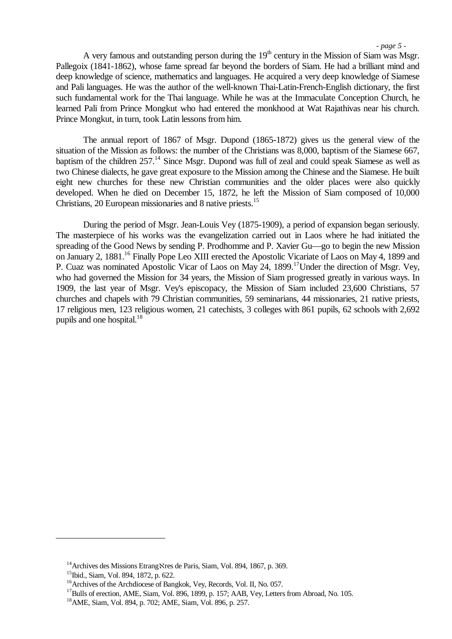*- page 5 -*

A very famous and outstanding person during the  $19<sup>th</sup>$  century in the Mission of Siam was Msgr. Pallegoix (1841-1862), whose fame spread far beyond the borders of Siam. He had a brilliant mind and deep knowledge of science, mathematics and languages. He acquired a very deep knowledge of Siamese and Pali languages. He was the author of the well-known Thai-Latin-French-English dictionary, the first such fundamental work for the Thai language. While he was at the Immaculate Conception Church, he learned Pali from Prince Mongkut who had entered the monkhood at Wat Rajathivas near his church. Prince Mongkut, in turn, took Latin lessons from him.

The annual report of 1867 of Msgr. Dupond (1865-1872) gives us the general view of the situation of the Mission as follows: the number of the Christians was 8,000, baptism of the Siamese 667, baptism of the children 257.<sup>14</sup> Since Msgr. Dupond was full of zeal and could speak Siamese as well as two Chinese dialects, he gave great exposure to the Mission among the Chinese and the Siamese. He built eight new churches for these new Christian communities and the older places were also quickly developed. When he died on December 15, 1872, he left the Mission of Siam composed of 10,000 Christians, 20 European missionaries and 8 native priests.<sup>15</sup>

During the period of Msgr. Jean-Louis Vey (1875-1909), a period of expansion began seriously. The masterpiece of his works was the evangelization carried out in Laos where he had initiated the spreading of the Good News by sending P. Prodhomme and P. Xavier Gu—go to begin the new Mission on January 2, 1881.<sup>16</sup> Finally Pope Leo XIII erected the Apostolic Vicariate of Laos on May 4, 1899 and P. Cuaz was nominated Apostolic Vicar of Laos on May 24, 1899.<sup>17</sup>Under the direction of Msgr. Vey, who had governed the Mission for 34 years, the Mission of Siam progressed greatly in various ways. In 1909, the last year of Msgr. Vey's episcopacy, the Mission of Siam included 23,600 Christians, 57 churches and chapels with 79 Christian communities, 59 seminarians, 44 missionaries, 21 native priests, 17 religious men, 123 religious women, 21 catechists, 3 colleges with 861 pupils, 62 schools with 2,692 pupils and one hospital. $18$ 

<sup>&</sup>lt;sup>14</sup>Archives des Missions Etrang $\aleph$ res de Paris, Siam, Vol. 894, 1867, p. 369.

<sup>&</sup>lt;sup>15</sup>Ibid., Siam, Vol. 894, 1872, p. 622.

<sup>&</sup>lt;sup>16</sup>Archives of the Archdiocese of Bangkok, Vey, Records, Vol. II, No. 057.

<sup>&</sup>lt;sup>17</sup>Bulls of erection, AME, Siam, Vol. 896, 1899, p. 157; AAB, Vey, Letters from Abroad, No. 105.

<sup>18</sup>AME, Siam, Vol. 894, p. 702; AME, Siam, Vol. 896, p. 257.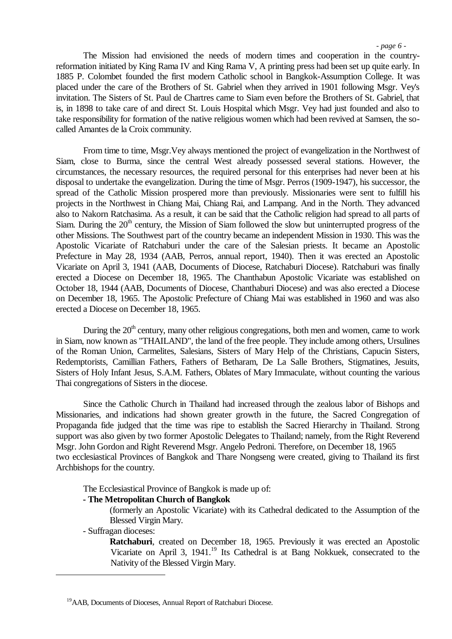*- page 6 -*

The Mission had envisioned the needs of modern times and cooperation in the countryreformation initiated by King Rama IV and King Rama V, A printing press had been set up quite early. In 1885 P. Colombet founded the first modern Catholic school in Bangkok-Assumption College. It was placed under the care of the Brothers of St. Gabriel when they arrived in 1901 following Msgr. Vey's invitation. The Sisters of St. Paul de Chartres came to Siam even before the Brothers of St. Gabriel, that is, in 1898 to take care of and direct St. Louis Hospital which Msgr. Vey had just founded and also to take responsibility for formation of the native religious women which had been revived at Samsen, the socalled Amantes de la Croix community.

From time to time, Msgr.Vey always mentioned the project of evangelization in the Northwest of Siam, close to Burma, since the central West already possessed several stations. However, the circumstances, the necessary resources, the required personal for this enterprises had never been at his disposal to undertake the evangelization. During the time of Msgr. Perros (1909-1947), his successor, the spread of the Catholic Mission prospered more than previously. Missionaries were sent to fulfill his projects in the Northwest in Chiang Mai, Chiang Rai, and Lampang. And in the North. They advanced also to Nakorn Ratchasima. As a result, it can be said that the Catholic religion had spread to all parts of Siam. During the  $20<sup>th</sup>$  century, the Mission of Siam followed the slow but uninterrupted progress of the other Missions. The Southwest part of the country became an independent Mission in 1930. This was the Apostolic Vicariate of Ratchaburi under the care of the Salesian priests. It became an Apostolic Prefecture in May 28, 1934 (AAB, Perros, annual report, 1940). Then it was erected an Apostolic Vicariate on April 3, 1941 (AAB, Documents of Diocese, Ratchaburi Diocese). Ratchaburi was finally erected a Diocese on December 18, 1965. The Chanthabun Apostolic Vicariate was established on October 18, 1944 (AAB, Documents of Diocese, Chanthaburi Diocese) and was also erected a Diocese on December 18, 1965. The Apostolic Prefecture of Chiang Mai was established in 1960 and was also erected a Diocese on December 18, 1965.

During the  $20<sup>th</sup>$  century, many other religious congregations, both men and women, came to work in Siam, now known as "THAILAND", the land of the free people. They include among others, Ursulines of the Roman Union, Carmelites, Salesians, Sisters of Mary Help of the Christians, Capucin Sisters, Redemptorists, Camillian Fathers, Fathers of Betharam, De La Salle Brothers, Stigmatines, Jesuits, Sisters of Holy Infant Jesus, S.A.M. Fathers, Oblates of Mary Immaculate, without counting the various Thai congregations of Sisters in the diocese.

Since the Catholic Church in Thailand had increased through the zealous labor of Bishops and Missionaries, and indications had shown greater growth in the future, the Sacred Congregation of Propaganda fide judged that the time was ripe to establish the Sacred Hierarchy in Thailand. Strong support was also given by two former Apostolic Delegates to Thailand; namely, from the Right Reverend Msgr. John Gordon and Right Reverend Msgr. Angelo Pedroni. Therefore, on December 18, 1965 two ecclesiastical Provinces of Bangkok and Thare Nongseng were created, giving to Thailand its first Archbishops for the country.

The Ecclesiastical Province of Bangkok is made up of:

## **- The Metropolitan Church of Bangkok**

(formerly an Apostolic Vicariate) with its Cathedral dedicated to the Assumption of the Blessed Virgin Mary.

- Suffragan dioceses:

i<br>L

**Ratchaburi**, created on December 18, 1965. Previously it was erected an Apostolic Vicariate on April 3, 1941.<sup>19</sup> Its Cathedral is at Bang Nokkuek, consecrated to the Nativity of the Blessed Virgin Mary.

<sup>&</sup>lt;sup>19</sup>AAB, Documents of Dioceses, Annual Report of Ratchaburi Diocese.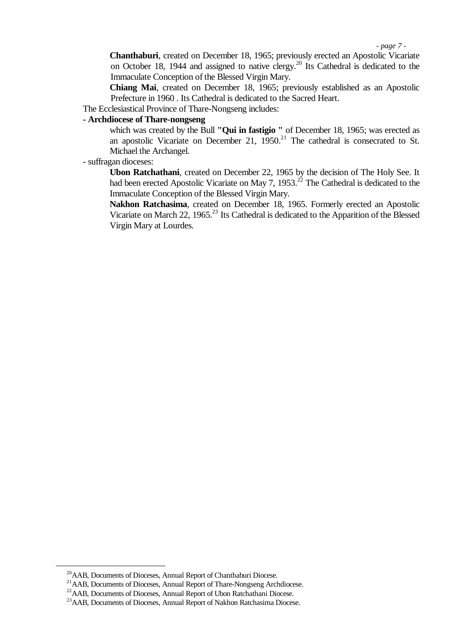*- page 7 -*

**Chanthaburi**, created on December 18, 1965; previously erected an Apostolic Vicariate on October 18, 1944 and assigned to native clergy.<sup>20</sup> Its Cathedral is dedicated to the Immaculate Conception of the Blessed Virgin Mary.

**Chiang Mai**, created on December 18, 1965; previously established as an Apostolic Prefecture in 1960 . Its Cathedral is dedicated to the Sacred Heart.

The Ecclesiastical Province of Thare-Nongseng includes:

# **- Archdiocese of Thare-nongseng**

which was created by the Bull **"Qui in fastigio "** of December 18, 1965; was erected as an apostolic Vicariate on December 21,  $1950.<sup>21</sup>$  The cathedral is consecrated to St. Michael the Archangel.

- suffragan dioceses:

**Ubon Ratchathani**, created on December 22, 1965 by the decision of The Holy See. It had been erected Apostolic Vicariate on May 7, 1953.<sup>22</sup> The Cathedral is dedicated to the Immaculate Conception of the Blessed Virgin Mary.

**Nakhon Ratchasima**, created on December 18, 1965. Formerly erected an Apostolic Vicariate on March 22, 1965.<sup>23</sup> Its Cathedral is dedicated to the Apparition of the Blessed Virgin Mary at Lourdes.

<sup>20</sup>AAB, Documents of Dioceses, Annual Report of Chanthaburi Diocese.

<sup>&</sup>lt;sup>21</sup>AAB, Documents of Dioceses, Annual Report of Thare-Nongseng Archdiocese.

<sup>&</sup>lt;sup>22</sup>AAB, Documents of Dioceses, Annual Report of Ubon Ratchathani Diocese.

<sup>&</sup>lt;sup>23</sup>AAB, Documents of Dioceses, Annual Report of Nakhon Ratchasima Diocese.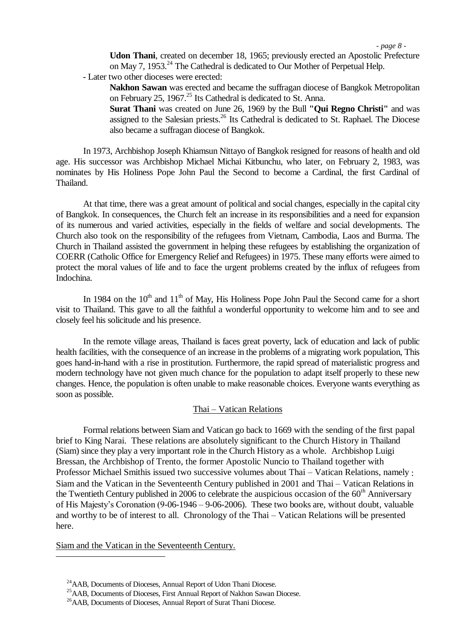*- page 8 -*

**Udon Thani**, created on december 18, 1965; previously erected an Apostolic Prefecture on May 7, 1953.<sup>24</sup> The Cathedral is dedicated to Our Mother of Perpetual Help.

- Later two other dioceses were erected:

**Nakhon Sawan** was erected and became the suffragan diocese of Bangkok Metropolitan on February 25, 1967.<sup>25</sup> Its Cathedral is dedicated to St. Anna.

**Surat Thani** was created on June 26, 1969 by the Bull **"Qui Regno Christi"** and was assigned to the Salesian priests.<sup>26</sup> Its Cathedral is dedicated to St. Raphael. The Diocese also became a suffragan diocese of Bangkok.

In 1973, Archbishop Joseph Khiamsun Nittayo of Bangkok resigned for reasons of health and old age. His successor was Archbishop Michael Michai Kitbunchu, who later, on February 2, 1983, was nominates by His Holiness Pope John Paul the Second to become a Cardinal, the first Cardinal of Thailand.

At that time, there was a great amount of political and social changes, especially in the capital city of Bangkok. In consequences, the Church felt an increase in its responsibilities and a need for expansion of its numerous and varied activities, especially in the fields of welfare and social developments. The Church also took on the responsibility of the refugees from Vietnam, Cambodia, Laos and Burma. The Church in Thailand assisted the government in helping these refugees by establishing the organization of COERR (Catholic Office for Emergency Relief and Refugees) in 1975. These many efforts were aimed to protect the moral values of life and to face the urgent problems created by the influx of refugees from Indochina.

In 1984 on the  $10<sup>th</sup>$  and  $11<sup>th</sup>$  of May, His Holiness Pope John Paul the Second came for a short visit to Thailand. This gave to all the faithful a wonderful opportunity to welcome him and to see and closely feel his solicitude and his presence.

In the remote village areas, Thailand is faces great poverty, lack of education and lack of public health facilities, with the consequence of an increase in the problems of a migrating work population, This goes hand-in-hand with a rise in prostitution. Furthermore, the rapid spread of materialistic progress and modern technology have not given much chance for the population to adapt itself properly to these new changes. Hence, the population is often unable to make reasonable choices. Everyone wants everything as soon as possible.

## Thai – Vatican Relations

Formal relations between Siam and Vatican go back to 1669 with the sending of the first papal brief to King Narai. These relations are absolutely significant to the Church History in Thailand (Siam) since they play a very important role in the Church History as a whole. Archbishop Luigi Bressan, the Archbishop of Trento, the former Apostolic Nuncio to Thailand together with Professor Michael Smithis issued two successive volumes about Thai – Vatican Relations, namely : Siam and the Vatican in the Seventeenth Century published in 2001 and Thai – Vatican Relations in the Twentieth Century published in 2006 to celebrate the auspicious occasion of the  $60<sup>th</sup>$  Anniversary of His Majesty's Coronation (9-06-1946 – 9-06-2006). These two books are, without doubt, valuable and worthy to be of interest to all. Chronology of the Thai – Vatican Relations will be presented here.

Siam and the Vatican in the Seventeenth Century.

<sup>24</sup>AAB, Documents of Dioceses, Annual Report of Udon Thani Diocese.

<sup>&</sup>lt;sup>25</sup>AAB, Documents of Dioceses, First Annual Report of Nakhon Sawan Diocese.

<sup>26</sup>AAB, Documents of Dioceses, Annual Report of Surat Thani Diocese.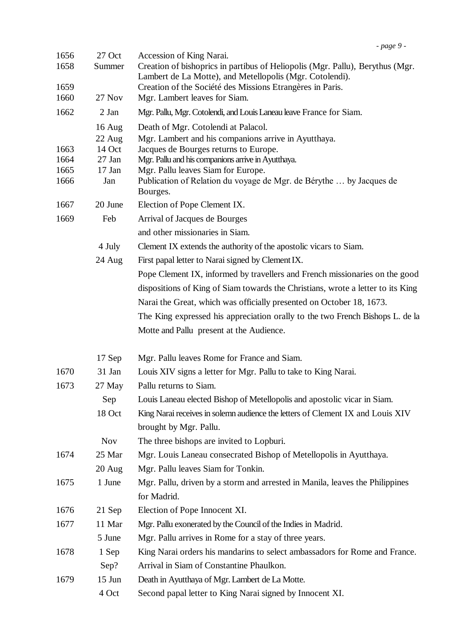| 1656<br>1658<br>1659 | 27 Oct<br>Summer | Accession of King Narai.<br>Creation of bishoprics in partibus of Heliopolis (Mgr. Pallu), Berythus (Mgr.<br>Lambert de La Motte), and Metellopolis (Mgr. Cotolendi).<br>Creation of the Société des Missions Etrangères in Paris. |
|----------------------|------------------|------------------------------------------------------------------------------------------------------------------------------------------------------------------------------------------------------------------------------------|
| 1660<br>1662         | 27 Nov<br>2 Jan  | Mgr. Lambert leaves for Siam.<br>Mgr. Pallu, Mgr. Cotolendi, and Louis Laneau leave France for Siam.                                                                                                                               |
|                      |                  |                                                                                                                                                                                                                                    |
|                      | 16 Aug<br>22 Aug | Death of Mgr. Cotolendi at Palacol.<br>Mgr. Lambert and his companions arrive in Ayutthaya.                                                                                                                                        |
| 1663                 | 14 Oct           | Jacques de Bourges returns to Europe.                                                                                                                                                                                              |
| 1664                 | $27$ Jan         | Mgr. Pallu and his companions arrive in Ayutthaya.                                                                                                                                                                                 |
| 1665                 | $17$ Jan         | Mgr. Pallu leaves Siam for Europe.                                                                                                                                                                                                 |
| 1666                 | Jan              | Publication of Relation du voyage de Mgr. de Bérythe  by Jacques de<br>Bourges.                                                                                                                                                    |
| 1667                 | 20 June          | Election of Pope Clement IX.                                                                                                                                                                                                       |
| 1669                 | Feb              | Arrival of Jacques de Bourges                                                                                                                                                                                                      |
|                      |                  | and other missionaries in Siam.                                                                                                                                                                                                    |
|                      | 4 July           | Clement IX extends the authority of the apostolic vicars to Siam.                                                                                                                                                                  |
|                      | 24 Aug           | First papal letter to Narai signed by Clement IX.                                                                                                                                                                                  |
|                      |                  | Pope Clement IX, informed by travellers and French missionaries on the good                                                                                                                                                        |
|                      |                  | dispositions of King of Siam towards the Christians, wrote a letter to its King                                                                                                                                                    |
|                      |                  | Narai the Great, which was officially presented on October 18, 1673.                                                                                                                                                               |
|                      |                  | The King expressed his appreciation orally to the two French Bishops L. de la                                                                                                                                                      |
|                      |                  | Motte and Pallu present at the Audience.                                                                                                                                                                                           |
|                      | 17 Sep           | Mgr. Pallu leaves Rome for France and Siam.                                                                                                                                                                                        |
| 1670                 | 31 Jan           | Louis XIV signs a letter for Mgr. Pallu to take to King Narai.                                                                                                                                                                     |
| 1673                 | 27 May           | Pallu returns to Siam.                                                                                                                                                                                                             |
|                      | Sep              | Louis Laneau elected Bishop of Metellopolis and apostolic vicar in Siam.                                                                                                                                                           |
|                      | 18 Oct           | King Narai receives in solemn audience the letters of Clement IX and Louis XIV                                                                                                                                                     |
|                      |                  | brought by Mgr. Pallu.                                                                                                                                                                                                             |
|                      | <b>Nov</b>       | The three bishops are invited to Lopburi.                                                                                                                                                                                          |
| 1674                 | 25 Mar           | Mgr. Louis Laneau consecrated Bishop of Metellopolis in Ayutthaya.                                                                                                                                                                 |
|                      | 20 Aug           | Mgr. Pallu leaves Siam for Tonkin.                                                                                                                                                                                                 |
| 1675                 | 1 June           | Mgr. Pallu, driven by a storm and arrested in Manila, leaves the Philippines                                                                                                                                                       |
|                      |                  | for Madrid.                                                                                                                                                                                                                        |
| 1676                 | 21 Sep           | Election of Pope Innocent XI.                                                                                                                                                                                                      |
| 1677                 | 11 Mar           | Mgr. Pallu exonerated by the Council of the Indies in Madrid.                                                                                                                                                                      |
|                      | 5 June           | Mgr. Pallu arrives in Rome for a stay of three years.                                                                                                                                                                              |
| 1678                 | 1 Sep            | King Narai orders his mandarins to select ambassadors for Rome and France.                                                                                                                                                         |
|                      | Sep?             | Arrival in Siam of Constantine Phaulkon.                                                                                                                                                                                           |
| 1679                 | $15$ Jun         | Death in Ayutthaya of Mgr. Lambert de La Motte.                                                                                                                                                                                    |
|                      | 4 Oct            | Second papal letter to King Narai signed by Innocent XI.                                                                                                                                                                           |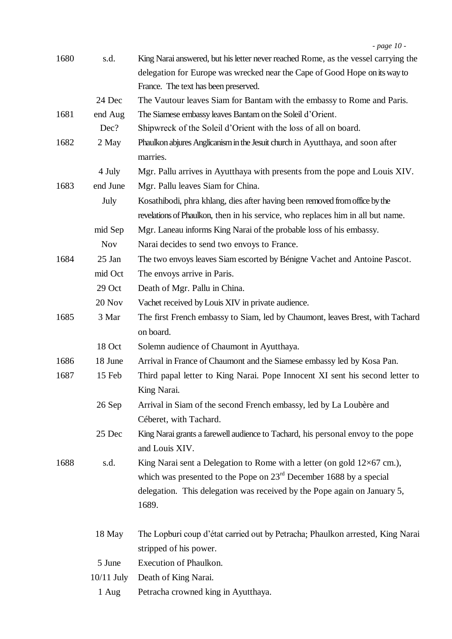| 1680 | s.d.         | King Narai answered, but his letter never reached Rome, as the vessel carrying the |
|------|--------------|------------------------------------------------------------------------------------|
|      |              | delegation for Europe was wrecked near the Cape of Good Hope on its way to         |
|      |              | France. The text has been preserved.                                               |
|      | 24 Dec       | The Vautour leaves Siam for Bantam with the embassy to Rome and Paris.             |
| 1681 | end Aug      | The Siamese embassy leaves Bantam on the Soleil d'Orient.                          |
|      | Dec?         | Shipwreck of the Soleil d'Orient with the loss of all on board.                    |
| 1682 | 2 May        | Phaulkon abjures Anglicanism in the Jesuit church in Ayutthaya, and soon after     |
|      |              | marries.                                                                           |
|      | 4 July       | Mgr. Pallu arrives in Ayutthaya with presents from the pope and Louis XIV.         |
| 1683 | end June     | Mgr. Pallu leaves Siam for China.                                                  |
|      | July         | Kosathibodi, phra khlang, dies after having been removed from office by the        |
|      |              | revelations of Phaulkon, then in his service, who replaces him in all but name.    |
|      | mid Sep      | Mgr. Laneau informs King Narai of the probable loss of his embassy.                |
|      | <b>Nov</b>   | Narai decides to send two envoys to France.                                        |
| 1684 | 25 Jan       | The two envoys leaves Siam escorted by Bénigne Vachet and Antoine Pascot.          |
|      | mid Oct      | The envoys arrive in Paris.                                                        |
|      | 29 Oct       | Death of Mgr. Pallu in China.                                                      |
|      | 20 Nov       | Vachet received by Louis XIV in private audience.                                  |
| 1685 | 3 Mar        | The first French embassy to Siam, led by Chaumont, leaves Brest, with Tachard      |
|      |              | on board.                                                                          |
|      | 18 Oct       | Solemn audience of Chaumont in Ayutthaya.                                          |
| 1686 | 18 June      | Arrival in France of Chaumont and the Siamese embassy led by Kosa Pan.             |
| 1687 | 15 Feb       | Third papal letter to King Narai. Pope Innocent XI sent his second letter to       |
|      |              | King Narai.                                                                        |
|      | 26 Sep       | Arrival in Siam of the second French embassy, led by La Loubère and                |
|      |              | Céberet, with Tachard.                                                             |
|      | 25 Dec       | King Narai grants a farewell audience to Tachard, his personal envoy to the pope   |
|      |              | and Louis XIV.                                                                     |
| 1688 | s.d.         | King Narai sent a Delegation to Rome with a letter (on gold $12\times67$ cm.),     |
|      |              | which was presented to the Pope on $23rd$ December 1688 by a special               |
|      |              | delegation. This delegation was received by the Pope again on January 5,           |
|      |              | 1689.                                                                              |
|      | 18 May       | The Lopburi coup d'état carried out by Petracha; Phaulkon arrested, King Narai     |
|      |              | stripped of his power.                                                             |
|      | 5 June       | Execution of Phaulkon.                                                             |
|      | $10/11$ July | Death of King Narai.                                                               |
|      | 1 Aug        | Petracha crowned king in Ayutthaya.                                                |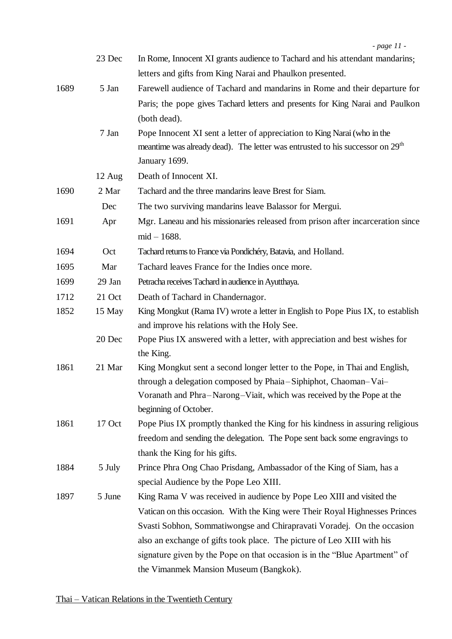|      | 23 Dec | In Rome, Innocent XI grants audience to Tachard and his attendant mandarins;              |
|------|--------|-------------------------------------------------------------------------------------------|
|      |        | letters and gifts from King Narai and Phaulkon presented.                                 |
| 1689 | 5 Jan  | Farewell audience of Tachard and mandarins in Rome and their departure for                |
|      |        | Paris; the pope gives Tachard letters and presents for King Narai and Paulkon             |
|      |        | (both dead).                                                                              |
|      | 7 Jan  | Pope Innocent XI sent a letter of appreciation to King Narai (who in the                  |
|      |        | meantime was already dead). The letter was entrusted to his successor on 29 <sup>th</sup> |
|      |        | January 1699.                                                                             |
|      | 12 Aug | Death of Innocent XI.                                                                     |
| 1690 | 2 Mar  | Tachard and the three mandarins leave Brest for Siam.                                     |
|      | Dec    | The two surviving mandarins leave Balassor for Mergui.                                    |
| 1691 | Apr    | Mgr. Laneau and his missionaries released from prison after incarceration since           |
|      |        | $mid - 1688.$                                                                             |
| 1694 | Oct    | Tachard returns to France via Pondichéry, Batavia, and Holland.                           |
| 1695 | Mar    | Tachard leaves France for the Indies once more.                                           |
| 1699 | 29 Jan | Petracha receives Tachard in audience in Ayutthaya.                                       |
| 1712 | 21 Oct | Death of Tachard in Chandernagor.                                                         |
| 1852 | 15 May | King Mongkut (Rama IV) wrote a letter in English to Pope Pius IX, to establish            |
|      |        | and improve his relations with the Holy See.                                              |
|      | 20 Dec | Pope Pius IX answered with a letter, with appreciation and best wishes for<br>the King.   |
| 1861 | 21 Mar | King Mongkut sent a second longer letter to the Pope, in Thai and English,                |
|      |        | through a delegation composed by Phaia–Siphiphot, Chaoman–Vai–                            |
|      |        | Voranath and Phra-Narong-Viait, which was received by the Pope at the                     |
|      |        | beginning of October.                                                                     |
| 1861 | 17 Oct | Pope Pius IX promptly thanked the King for his kindness in assuring religious             |
|      |        | freedom and sending the delegation. The Pope sent back some engravings to                 |
|      |        | thank the King for his gifts.                                                             |
| 1884 | 5 July | Prince Phra Ong Chao Prisdang, Ambassador of the King of Siam, has a                      |
|      |        | special Audience by the Pope Leo XIII.                                                    |
| 1897 | 5 June | King Rama V was received in audience by Pope Leo XIII and visited the                     |
|      |        | Vatican on this occasion. With the King were Their Royal Highnesses Princes               |
|      |        | Svasti Sobhon, Sommatiwongse and Chirapravati Voradej. On the occasion                    |
|      |        | also an exchange of gifts took place. The picture of Leo XIII with his                    |
|      |        | signature given by the Pope on that occasion is in the "Blue Apartment" of                |
|      |        | the Vimanmek Mansion Museum (Bangkok).                                                    |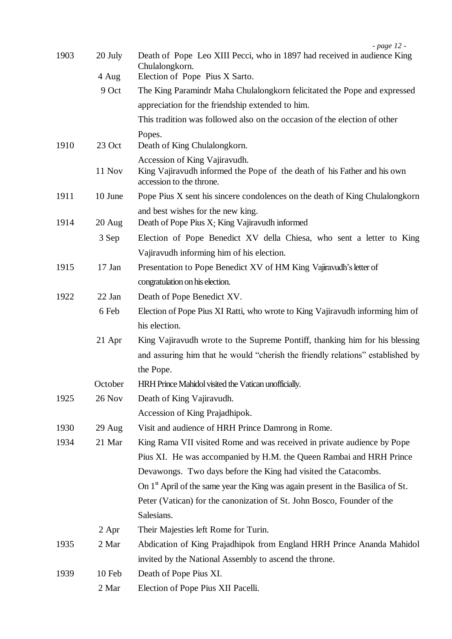| 1903 | 20 July       | - page 12<br>Death of Pope Leo XIII Pecci, who in 1897 had received in audience King<br>Chulalongkorn. |
|------|---------------|--------------------------------------------------------------------------------------------------------|
|      | 4 Aug         | Election of Pope Pius X Sarto.                                                                         |
|      | 9 Oct         | The King Paramindr Maha Chulalongkorn felicitated the Pope and expressed                               |
|      |               | appreciation for the friendship extended to him.                                                       |
|      |               | This tradition was followed also on the occasion of the election of other                              |
| 1910 | 23 Oct        | Popes.<br>Death of King Chulalongkorn.                                                                 |
|      |               | Accession of King Vajiravudh.                                                                          |
|      | 11 Nov        | King Vajiravudh informed the Pope of the death of his Father and his own<br>accession to the throne.   |
| 1911 | 10 June       | Pope Pius X sent his sincere condolences on the death of King Chulalongkorn                            |
| 1914 | $20$ Aug      | and best wishes for the new king.<br>Death of Pope Pius X; King Vajiravudh informed                    |
|      | 3 Sep         | Election of Pope Benedict XV della Chiesa, who sent a letter to King                                   |
|      |               | Vajiravudh informing him of his election.                                                              |
| 1915 | 17 Jan        | Presentation to Pope Benedict XV of HM King Vajiravudh's letter of                                     |
|      |               | congratulation on his election.                                                                        |
| 1922 | 22 Jan        | Death of Pope Benedict XV.                                                                             |
|      | 6 Feb         | Election of Pope Pius XI Ratti, who wrote to King Vajiravudh informing him of                          |
|      |               | his election.                                                                                          |
|      | 21 Apr        | King Vajiravudh wrote to the Supreme Pontiff, thanking him for his blessing                            |
|      |               | and assuring him that he would "cherish the friendly relations" established by                         |
|      |               | the Pope.                                                                                              |
|      | October       | HRH Prince Mahidol visited the Vatican unofficially.                                                   |
| 1925 | <b>26 Nov</b> | Death of King Vajiravudh.                                                                              |
|      |               | Accession of King Prajadhipok.                                                                         |
| 1930 | 29 Aug        | Visit and audience of HRH Prince Damrong in Rome.                                                      |
| 1934 | 21 Mar        | King Rama VII visited Rome and was received in private audience by Pope                                |
|      |               | Pius XI. He was accompanied by H.M. the Queen Rambai and HRH Prince                                    |
|      |               | Devawongs. Two days before the King had visited the Catacombs.                                         |
|      |               | On $1st$ April of the same year the King was again present in the Basilica of St.                      |
|      |               | Peter (Vatican) for the canonization of St. John Bosco, Founder of the                                 |
|      |               | Salesians.                                                                                             |
|      | 2 Apr         | Their Majesties left Rome for Turin.                                                                   |
| 1935 | 2 Mar         | Abdication of King Prajadhipok from England HRH Prince Ananda Mahidol                                  |
|      |               | invited by the National Assembly to ascend the throne.                                                 |
| 1939 | 10 Feb        | Death of Pope Pius XI.                                                                                 |
|      | 2 Mar         | Election of Pope Pius XII Pacelli.                                                                     |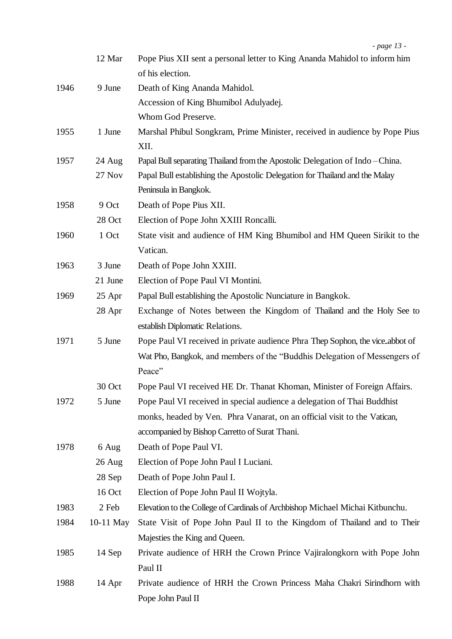|      | 12 Mar        | Pope Pius XII sent a personal letter to King Ananda Mahidol to inform him<br>of his election. |
|------|---------------|-----------------------------------------------------------------------------------------------|
| 1946 | 9 June        | Death of King Ananda Mahidol.                                                                 |
|      |               | Accession of King Bhumibol Adulyadej.                                                         |
|      |               | Whom God Preserve.                                                                            |
| 1955 | 1 June        | Marshal Phibul Songkram, Prime Minister, received in audience by Pope Pius                    |
|      |               | XII.                                                                                          |
| 1957 | 24 Aug        | Papal Bull separating Thailand from the Apostolic Delegation of Indo-China.                   |
|      | <b>27 Nov</b> | Papal Bull establishing the Apostolic Delegation for Thailand and the Malay                   |
|      |               | Peninsula in Bangkok.                                                                         |
| 1958 | 9 Oct         | Death of Pope Pius XII.                                                                       |
|      | 28 Oct        | Election of Pope John XXIII Roncalli.                                                         |
| 1960 | 1 Oct         | State visit and audience of HM King Bhumibol and HM Queen Sirikit to the                      |
|      |               | Vatican.                                                                                      |
| 1963 | 3 June        | Death of Pope John XXIII.                                                                     |
|      | 21 June       | Election of Pope Paul VI Montini.                                                             |
| 1969 | 25 Apr        | Papal Bull establishing the Apostolic Nunciature in Bangkok.                                  |
|      | 28 Apr        | Exchange of Notes between the Kingdom of Thailand and the Holy See to                         |
|      |               | establish Diplomatic Relations.                                                               |
| 1971 | 5 June        | Pope Paul VI received in private audience Phra Thep Sophon, the vice abbot of                 |
|      |               | Wat Pho, Bangkok, and members of the "Buddhis Delegation of Messengers of                     |
|      |               | Peace"                                                                                        |
|      | 30 Oct        | Pope Paul VI received HE Dr. Thanat Khoman, Minister of Foreign Affairs.                      |
| 1972 | 5 June        | Pope Paul VI received in special audience a delegation of Thai Buddhist                       |
|      |               | monks, headed by Ven. Phra Vanarat, on an official visit to the Vatican,                      |
|      |               | accompanied by Bishop Carretto of Surat Thani.                                                |
| 1978 | 6 Aug         | Death of Pope Paul VI.                                                                        |
|      | 26 Aug        | Election of Pope John Paul I Luciani.                                                         |
|      | 28 Sep        | Death of Pope John Paul I.                                                                    |
|      | 16 Oct        | Election of Pope John Paul II Wojtyla.                                                        |
| 1983 | 2 Feb         | Elevation to the College of Cardinals of Archbishop Michael Michai Kitbunchu.                 |
| 1984 | 10-11 May     | State Visit of Pope John Paul II to the Kingdom of Thailand and to Their                      |
|      |               | Majesties the King and Queen.                                                                 |
| 1985 | 14 Sep        | Private audience of HRH the Crown Prince Vajiralongkorn with Pope John                        |
|      |               | Paul II                                                                                       |
| 1988 | 14 Apr        | Private audience of HRH the Crown Princess Maha Chakri Sirindhorn with                        |
|      |               | Pope John Paul II                                                                             |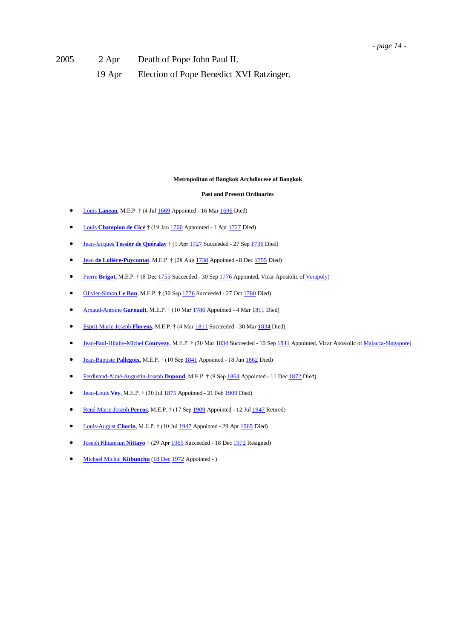2005 2 Apr Death of Pope John Paul II.

19 Apr Election of Pope Benedict XVI Ratzinger.

### **Metropolitan of Bangkok Archdiocese of Bangkok**

#### **Past and Present Ordinaries**

- Louis **[Laneau](http://www.catholic-hierarchy.org/bishop/blaneau.html)**, M.E.P. † (4 Jul [1669](http://www.catholic-hierarchy.org/events/b1669.html) Appointed 16 Ma[r 1696](http://www.catholic-hierarchy.org/events/b1696.html) Died)
- Louis **[Champion de Cicé](http://www.catholic-hierarchy.org/bishop/bchdc.html)** † (19 Ja[n 1700](http://www.catholic-hierarchy.org/events/b1700.html) Appointed 1 Ap[r 1727](http://www.catholic-hierarchy.org/events/b1727.html) Died)
- Jean-Jacques **[Tessier de Quéralay](http://www.catholic-hierarchy.org/bishop/btesq.html)** † (1 Ap[r 1727](http://www.catholic-hierarchy.org/events/b1727.html) Succeeded 27 Se[p 1736](http://www.catholic-hierarchy.org/events/b1736.html) Died)
- Jean **[de Lolière-Puycontat](http://www.catholic-hierarchy.org/bishop/blopu.html)**, M.E.P. † (28 Au[g 1738](http://www.catholic-hierarchy.org/events/b1738.html) Appointed 8 De[c 1755](http://www.catholic-hierarchy.org/events/b1755.html) Died)
- **Pierre [Brigot](http://www.catholic-hierarchy.org/bishop/bbrigo.html)**, M.E.P. † (8 De[c 1755](http://www.catholic-hierarchy.org/events/b1755.html) Succeeded 30 Se[p 1776](http://www.catholic-hierarchy.org/events/b1776.html) Appointed, Vicar Apostolic o[f Verapoly\)](http://www.catholic-hierarchy.org/diocese/dvrpl.html)
- [Olivier-Simon](http://www.catholic-hierarchy.org/bishop/blebon.html) **Le Bon**, M.E.P. † (30 Se[p 1776](http://www.catholic-hierarchy.org/events/b1776.html) Succeeded 27 Oc[t 1780](http://www.catholic-hierarchy.org/events/b1780.html) Died)
- **[Arnaud-Antoine](http://www.catholic-hierarchy.org/bishop/bgarn.html) Garnault**, M.E.P. † (10 Ma[r 1786](http://www.catholic-hierarchy.org/events/b1786.html) Appointed 4 Ma[r 1811](http://www.catholic-hierarchy.org/events/b1811.html) Died)
- [Esprit-Marie-Joseph](http://www.catholic-hierarchy.org/bishop/bflorens.html) **Florens**, M.E.P. † (4 Ma[r 1811](http://www.catholic-hierarchy.org/events/b1811.html) Succeeded 30 Ma[r 1834](http://www.catholic-hierarchy.org/events/b1834.html) Died)
- [Jean-Paul-Hilaire-Michel](http://www.catholic-hierarchy.org/bishop/bcourv.html) **Courvezy**, M.E.P. † (30 Ma[r 1834](http://www.catholic-hierarchy.org/events/b1834.html) Succeeded 10 Se[p 1841](http://www.catholic-hierarchy.org/events/b1841b.html) Appointed, Vicar Apostolic o[f Malacca-Singapore\)](http://www.catholic-hierarchy.org/diocese/dsngp.html)
- [Jean-Baptiste](http://www.catholic-hierarchy.org/bishop/bpalleg.html) Pallegoix, M.E.P. † (10 Se[p 1841](http://www.catholic-hierarchy.org/events/b1841b.html) Appointed 18 Ju[n 1862](http://www.catholic-hierarchy.org/events/b1862.html) Died)
- **•** [Ferdinand-Aimé-Augustin-Joseph](http://www.catholic-hierarchy.org/bishop/bdupond.html) Dupond, M.E.P. † (9 Se[p 1864](http://www.catholic-hierarchy.org/events/b1864b.html) Appointed 11 De[c 1872](http://www.catholic-hierarchy.org/events/b1872c.html) Died)
- [Jean-Louis](http://www.catholic-hierarchy.org/bishop/bvey.html) **Vey**, M.E.P. † (30 Ju[l 1875](http://www.catholic-hierarchy.org/events/b1875b.html) Appointed 21 Fe[b 1909](http://www.catholic-hierarchy.org/events/b1909.html) Died)
- [René-Marie-Joseph](http://www.catholic-hierarchy.org/bishop/bperr.html) **Perros**, M.E.P. † (17 Se[p 1909](http://www.catholic-hierarchy.org/events/b1909c.html) Appointed 12 Ju[l 1947](http://www.catholic-hierarchy.org/events/b1947d.html) Retired)
- [Louis-August](http://www.catholic-hierarchy.org/bishop/bchor.html) Chorin, M.E.P. † (10 Ju[l 1947](http://www.catholic-hierarchy.org/events/b1947d.html) Appointed 29 Apr [1965](http://www.catholic-hierarchy.org/events/b1965b.html) Died)
- [Joseph Khiamsun](http://www.catholic-hierarchy.org/bishop/bnittayo.html) **Nittayo** † (29 Ap[r 1965](http://www.catholic-hierarchy.org/events/b1965b.html) Succeeded 18 De[c 1972](http://www.catholic-hierarchy.org/events/b1972f.html) Resigned)
- [Michael Michai](http://www.catholic-hierarchy.org/bishop/bkitb.html) **Kitbunchu** [\(18 Dec](http://www.catholic-hierarchy.org/events/bay1218.html) [1972](http://www.catholic-hierarchy.org/events/b1972f.html) Appointed )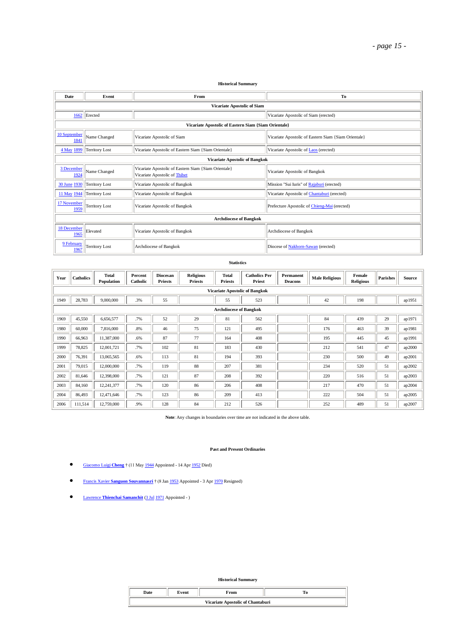#### **Historical Summary**

| Date                 | Event                                                   | From                                                                                  | To                                                   |  |  |  |  |  |  |
|----------------------|---------------------------------------------------------|---------------------------------------------------------------------------------------|------------------------------------------------------|--|--|--|--|--|--|
|                      |                                                         | Vicariate Apostolic of Siam                                                           |                                                      |  |  |  |  |  |  |
|                      | 1662 Erected                                            |                                                                                       | Vicariate Apostolic of Siam (erected)                |  |  |  |  |  |  |
|                      | Vicariate Apostolic of Eastern Siam {Siam Orientale}    |                                                                                       |                                                      |  |  |  |  |  |  |
| 10 September<br>1841 | Name Changed                                            | Vicariate Apostolic of Siam                                                           | Vicariate Apostolic of Eastern Siam {Siam Orientale} |  |  |  |  |  |  |
| 4 May 1899           | Territory Lost                                          | Vicariate Apostolic of Eastern Siam {Siam Orientale}                                  | Vicariate Apostolic of Laos (erected)                |  |  |  |  |  |  |
|                      | <b>Vicariate Apostolic of Bangkok</b>                   |                                                                                       |                                                      |  |  |  |  |  |  |
| 3 December<br>1924   | Name Changed                                            | Vicariate Apostolic of Eastern Siam {Siam Orientale}<br>Vicariate Apostolic of Thibet | Vicariate Apostolic of Bangkok                       |  |  |  |  |  |  |
| 30 June 1930         | Territory Lost                                          | Vicariate Apostolic of Bangkok                                                        | Mission "Sui Iuris" of Rajaburi (erected)            |  |  |  |  |  |  |
| 11 May 1944          | Territory Lost                                          | Vicariate Apostolic of Bangkok                                                        | Vicariate Apostolic of Chantaburi (erected)          |  |  |  |  |  |  |
| 17 November<br>1959  | <b>Territory Lost</b><br>Vicariate Apostolic of Bangkok |                                                                                       | Prefecture Apostolic of Chieng-Mai (erected)         |  |  |  |  |  |  |
|                      | <b>Archdiocese of Bangkok</b>                           |                                                                                       |                                                      |  |  |  |  |  |  |
| 18 December<br>1965  | Elevated<br>Vicariate Apostolic of Bangkok              |                                                                                       | Archdiocese of Bangkok                               |  |  |  |  |  |  |
| 9 February<br>1967   | Territory Lost                                          | Archdiocese of Bangkok                                                                | Diocese of Nakhorn-Sawan (erected)                   |  |  |  |  |  |  |

#### **Statistics**

| Year | <b>Catholics</b>                      | <b>Total</b><br>Population | Percent<br>Catholic | Diocesan<br><b>Priests</b> | <b>Religious</b><br><b>Priests</b> | Total<br><b>Priests</b> | <b>Catholics Per</b><br>Priest | Permanent<br><b>Deacons</b> | <b>Male Religious</b> | Female<br><b>Religious</b> | <b>Parishes</b> | <b>Source</b> |
|------|---------------------------------------|----------------------------|---------------------|----------------------------|------------------------------------|-------------------------|--------------------------------|-----------------------------|-----------------------|----------------------------|-----------------|---------------|
|      | <b>Vicariate Apostolic of Bangkok</b> |                            |                     |                            |                                    |                         |                                |                             |                       |                            |                 |               |
| 1949 | 28,783                                | 9,000,000                  | .3%                 | 55                         |                                    | 55                      | 523                            |                             | 42                    | 198                        |                 | ap1951        |
|      | <b>Archdiocese of Bangkok</b>         |                            |                     |                            |                                    |                         |                                |                             |                       |                            |                 |               |
| 1969 | 45,550                                | 6,656,577                  | .7%                 | 52                         | 29                                 | 81                      | 562                            |                             | 84                    | 439                        | 29              | ap1971        |
| 1980 | 60,000                                | 7,816,000                  | .8%                 | 46                         | 75                                 | 121                     | 495                            |                             | 176                   | 463                        | 39              | ap1981        |
| 1990 | 66,963                                | 11,387,000                 | .6%                 | 87                         | 77                                 | 164                     | 408                            |                             | 195                   | 445                        | 45              | ap1991        |
| 1999 | 78,825                                | 12,001,721                 | .7%                 | 102                        | 81                                 | 183                     | 430                            |                             | 212                   | 541                        | 47              | ap2000        |
| 2000 | 76,391                                | 13,065,565                 | .6%                 | 113                        | 81                                 | 194                     | 393                            |                             | 230                   | 500                        | 49              | ap2001        |
| 2001 | 79,015                                | 12,000,000                 | .7%                 | 119                        | 88                                 | 207                     | 381                            |                             | 234                   | 520                        | 51              | ap2002        |
| 2002 | 81,646                                | 12,398,000                 | .7%                 | 121                        | 87                                 | 208                     | 392                            |                             | 220                   | 516                        | 51              | ap2003        |
| 2003 | 84,160                                | 12,241,377                 | .7%                 | 120                        | 86                                 | 206                     | 408                            |                             | 217                   | 470                        | 51              | ap2004        |
| 2004 | 86,493                                | 12,471,646                 | .7%                 | 123                        | 86                                 | 209                     | 413                            |                             | 222                   | 504                        | 51              | ap2005        |
| 2006 | 111,514                               | 12,759,000                 | .9%                 | 128                        | 84                                 | 212                     | 526                            |                             | 252                   | 489                        | 51              | ap2007        |

**Note**: Any changes in boundaries over time are not indicated in the above table.

#### **Past and Present Ordinaries**

- [Giacomo Luigi](http://www.catholic-hierarchy.org/bishop/bcheng.html) **Cheng** † (11 Ma[y 1944](http://www.catholic-hierarchy.org/events/b1944b.html) Appointed 14 Ap[r 1952](http://www.catholic-hierarchy.org/events/b1952b.html) Died)
- Francis Xavier **[Sanguon Souvannasri](http://www.catholic-hierarchy.org/bishop/bsanguon.html)** † (8 Ja[n 1953](http://www.catholic-hierarchy.org/events/b1953.html) Appointed 3 Ap[r 1970](http://www.catholic-hierarchy.org/events/b1970d.html) Resigned)
- Lawrence **[Thienchai Samanchit](http://www.catholic-hierarchy.org/bishop/bthsa.html)** [\(3 Jul](http://www.catholic-hierarchy.org/events/bay0703.html) [1971](http://www.catholic-hierarchy.org/events/b1971d.html) Appointed )

**Historical Summary**

| <b>Date</b>                       | Event | rom |  |  |  |  |  |  |
|-----------------------------------|-------|-----|--|--|--|--|--|--|
| Vicariate Apostolic of Chantaburi |       |     |  |  |  |  |  |  |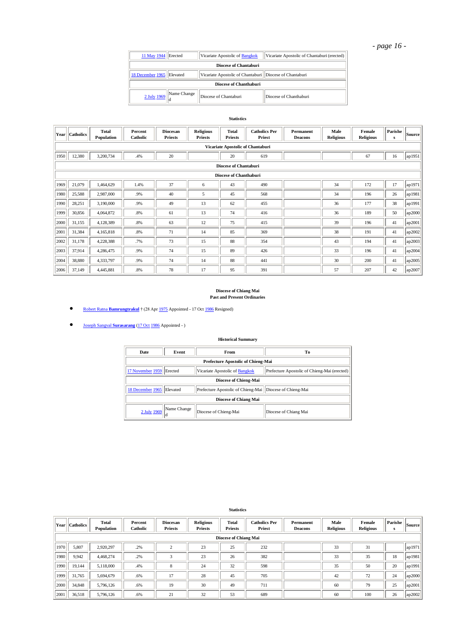# *- page 16 -*

| 11 May 1944 Erected       |                                                                 | Vicariate Apostolic of Bangkok                            | Vicariate Apostolic of Chantaburi (erected) |  |  |  |  |  |  |  |
|---------------------------|-----------------------------------------------------------------|-----------------------------------------------------------|---------------------------------------------|--|--|--|--|--|--|--|
| Diocese of Chantaburi     |                                                                 |                                                           |                                             |  |  |  |  |  |  |  |
| 18 December 1965 Elevated |                                                                 | Vicariate Apostolic of Chantaburi   Diocese of Chantaburi |                                             |  |  |  |  |  |  |  |
|                           | Diocese of Chanthaburi                                          |                                                           |                                             |  |  |  |  |  |  |  |
|                           | $\frac{2 \text{ July } 1969}{2 \text{ July } 1969}$ Mame Change | Diocese of Chantaburi                                     | Diocese of Chanthaburi                      |  |  |  |  |  |  |  |

#### **Statistics**

| Year | <b>Catholics</b>                  | Total<br>Population | Percent<br>Catholic | <b>Diocesan</b><br><b>Priests</b> | <b>Religious</b><br><b>Priests</b> | <b>Total</b><br><b>Priests</b> | <b>Catholics Per</b><br>Priest | Permanent<br><b>Deacons</b> | Male<br><b>Religious</b> | Female<br><b>Religious</b> | Parishe<br>s | [Source] |
|------|-----------------------------------|---------------------|---------------------|-----------------------------------|------------------------------------|--------------------------------|--------------------------------|-----------------------------|--------------------------|----------------------------|--------------|----------|
|      | Vicariate Apostolic of Chantaburi |                     |                     |                                   |                                    |                                |                                |                             |                          |                            |              |          |
| 1950 | 12,380                            | 3,200,734           | .4%                 | 20                                |                                    | 20                             | 619                            |                             |                          | 67                         | 16           | ap1951   |
|      |                                   |                     |                     |                                   |                                    | <b>Diocese of Chantaburi</b>   |                                |                             |                          |                            |              |          |
|      |                                   |                     |                     |                                   |                                    | <b>Diocese of Chanthaburi</b>  |                                |                             |                          |                            |              |          |
| 1969 | 21,079                            | 1,464,629           | 1.4%                | 37                                | 6                                  | 43                             | 490                            |                             | 34                       | 172                        | 17           | ap1971   |
| 1980 | 25,588                            | 2,987,000           | .9%                 | 40                                | 5                                  | 45                             | 568                            |                             | 34                       | 196                        | 26           | ap1981   |
| 1990 | 28,251                            | 3,190,000           | .9%                 | 49                                | 13                                 | 62                             | 455                            |                             | 36                       | 177                        | 38           | ap1991   |
| 1999 | 30,856                            | 4,064,872           | .8%                 | 61                                | 13                                 | 74                             | 416                            |                             | 36                       | 189                        | 50           | ap2000   |
| 2000 | 31,155                            | 4,128,389           | .8%                 | 63                                | 12                                 | 75                             | 415                            |                             | 39                       | 196                        | 41           | ap2001   |
| 2001 | 31,384                            | 4,165,818           | .8%                 | 71                                | 14                                 | 85                             | 369                            |                             | 38                       | 191                        | 41           | ap2002   |
| 2002 | 31,178                            | 4,228,388           | .7%                 | 73                                | 15                                 | 88                             | 354                            |                             | 43                       | 194                        | 41           | ap2003   |
| 2003 | 37,914                            | 4,286,475           | .9%                 | 74                                | 15                                 | 89                             | 426                            |                             | 33                       | 196                        | 41           | ap2004   |
| 2004 | 38,880                            | 4,333,797           | .9%                 | 74                                | 14                                 | 88                             | 441                            |                             | 30                       | 200                        | 41           | ap2005   |
| 2006 | 37,149                            | 4,445,881           | .8%                 | 78                                | 17                                 | 95                             | 391                            |                             | 57                       | 207                        | 42           | lap2007  |

# **Diocese of Chiang Mai Past and Present Ordinaries**

**COL** Robert Ratna **[Bamrungtrakul](http://www.catholic-hierarchy.org/bishop/bbamr.html)** † (28 Ap[r 1975](http://www.catholic-hierarchy.org/events/b1975b.html) Appointed - 17 Oc[t 1986](http://www.catholic-hierarchy.org/events/b1986e.html) Resigned)

[Joseph Sangval](http://www.catholic-hierarchy.org/bishop/bsur.html) **Surasarang** [\(17 Oct](http://www.catholic-hierarchy.org/events/bay1017.html) [1986](http://www.catholic-hierarchy.org/events/b1986e.html) Appointed - )

### **Historical Summary**

| <b>Date</b>               | Event                              | <b>From</b>                                  | Тo                    |  |  |  |  |  |  |
|---------------------------|------------------------------------|----------------------------------------------|-----------------------|--|--|--|--|--|--|
|                           | Prefecture Apostolic of Chieng-Mai |                                              |                       |  |  |  |  |  |  |
| 17 November 1959 Erected  |                                    | Prefecture Apostolic of Chieng-Mai (erected) |                       |  |  |  |  |  |  |
|                           | <b>Diocese of Chieng-Mai</b>       |                                              |                       |  |  |  |  |  |  |
| 18 December 1965 Elevated |                                    | Prefecture Apostolic of Chieng-Mai           | Diocese of Chieng-Mai |  |  |  |  |  |  |
|                           | Diocese of Chiang Mai              |                                              |                       |  |  |  |  |  |  |
|                           | 2 July 1969 Name Change            | Diocese of Chieng-Mai                        | Diocese of Chiang Mai |  |  |  |  |  |  |

| Year | <b>Catholics</b>      | Total<br>Population | Percent<br><b>Catholic</b> | <b>Diocesan</b><br><b>Priests</b> | <b>Religious</b><br><b>Priests</b> | Total<br><b>Priests</b> | <b>Catholics Per</b><br>Priest | Permanent<br><b>Deacons</b> | Male<br><b>Religious</b> | Female<br><b>Religious</b> | Parishe<br>s | Source |
|------|-----------------------|---------------------|----------------------------|-----------------------------------|------------------------------------|-------------------------|--------------------------------|-----------------------------|--------------------------|----------------------------|--------------|--------|
|      | Diocese of Chiang Mai |                     |                            |                                   |                                    |                         |                                |                             |                          |                            |              |        |
| 1970 | 5,807                 | 2.920.297           | .2%                        | $\mathbf{\hat{}}$                 | 23                                 | 25                      | 232                            |                             | 33                       | 31                         |              | ap1971 |
| 1980 | 9,942                 | 4,468,274           | .2%                        | 3                                 | 23                                 | 26                      | 382                            |                             | 33                       | 35                         | 18           | ap1981 |
| 1990 | 19.144                | 5,118,000           | .4%                        | 8                                 | 24                                 | 32                      | 598                            |                             | 35                       | 50                         | 20           | ap1991 |
| 1999 | 31,765                | 5,694,679           | .6%                        | 17                                | 28                                 | 45                      | 705                            |                             | 42                       | 72                         | 24           | ap2000 |
| 2000 | 34,848                | 5,796,126           | .6%                        | 19                                | 30                                 | 49                      | 711                            |                             | 60                       | 79                         | 25           | ap2001 |
| 2001 | 36,518                | 5,796,126           | .6%                        | 21                                | 32                                 | 53                      | 689                            |                             | 60                       | 100                        | 26           | ap2002 |

#### **Statistics**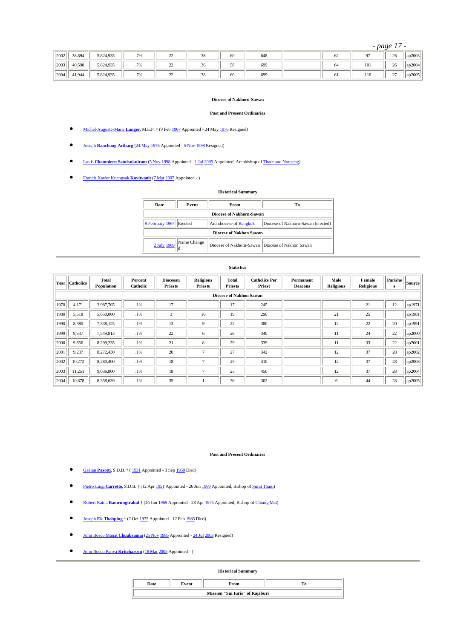*- page 17 -*

| 2002 | 38,894 | 5,824,935 | .7%                      | $\sim$<br>∼ | $\alpha$<br>38 | 60 | 648 | 62 |     | 26            | ap2003 |
|------|--------|-----------|--------------------------|-------------|----------------|----|-----|----|-----|---------------|--------|
| 2003 | 40.598 | 5,824,935 | .7%                      | $\sim$<br>∸ | $\sim$<br>30   | 58 | 699 | 64 | 101 | 26            | ap2004 |
| 2004 | 41.944 | 5,824,935 | $\overline{a}$<br>$.7\%$ | ∼           | $\alpha$<br>38 | 60 | 699 | 61 | 110 | $\sim$<br>ا ت | ap2005 |

#### **Diocese of Nakhorn-Sawan**

#### **Past and Present Ordinaries**

- [Michel-Auguste-Marie](http://www.catholic-hierarchy.org/bishop/blanger.html) **Langer**, M.E.P. † (9 Fe[b 1967](http://www.catholic-hierarchy.org/events/b1967b.html) Appointed 24 Ma[y 1976](http://www.catholic-hierarchy.org/events/b1976c.html) Resigned)
- Joseph **[Banchong Aribarg](http://www.catholic-hierarchy.org/bishop/bbanc.html)** [\(24 May](http://www.catholic-hierarchy.org/events/bay0524.html) [1976](http://www.catholic-hierarchy.org/events/b1976c.html) Appointed [5 Nov](http://www.catholic-hierarchy.org/events/bay1105.html) [1998](http://www.catholic-hierarchy.org/events/b1998f.html) Resigned)
- **COULT ARRY AND ISLAM ATTES APPOINTED APPOINTED APPOINT AT A LOUIS Appointed, Archbishop of Thare and Nonseng)**
- [Francis Xavier Kriengsak](http://www.catholic-hierarchy.org/bishop/bkrko.html) **Kovitvanit** [\(7 Mar](http://www.catholic-hierarchy.org/events/bay0307.html) [2007](http://www.catholic-hierarchy.org/events/b2007.html) Appointed )

|                                 | тими кагочницаг у |                                                  |                                    |  |  |  |  |  |  |  |  |  |  |
|---------------------------------|-------------------|--------------------------------------------------|------------------------------------|--|--|--|--|--|--|--|--|--|--|
| <b>Date</b>                     | Event             | From                                             | Tо                                 |  |  |  |  |  |  |  |  |  |  |
| <b>Diocese of Nakhorn-Sawan</b> |                   |                                                  |                                    |  |  |  |  |  |  |  |  |  |  |
| 9 February 1967 Erected         |                   | Archdiocese of Bangkok                           | Diocese of Nakhorn-Sawan (erected) |  |  |  |  |  |  |  |  |  |  |
| Diocese of Nakhon Sawan         |                   |                                                  |                                    |  |  |  |  |  |  |  |  |  |  |
| 2 July 1969                     | Name Change       | Diocese of Nakhorn-Sawan Diocese of Nakhon Sawan |                                    |  |  |  |  |  |  |  |  |  |  |

**Historical Summary**

#### **Statistics**

| Year | <b>Catholics</b>               | <b>Total</b><br>Population | Percent<br>Catholic | Diocesan<br><b>Priests</b> | <b>Religious</b><br><b>Priests</b> | Total<br><b>Priests</b> | <b>Catholics Per</b><br>Priest | Permanent<br><b>Deacons</b> | Male<br><b>Religious</b> | Female<br><b>Religious</b> | Parishe<br>s | Source |  |
|------|--------------------------------|----------------------------|---------------------|----------------------------|------------------------------------|-------------------------|--------------------------------|-----------------------------|--------------------------|----------------------------|--------------|--------|--|
|      | <b>Diocese of Nakhon Sawan</b> |                            |                     |                            |                                    |                         |                                |                             |                          |                            |              |        |  |
| 1970 | 4,171                          | 3,987,765                  | .1%                 | 17                         |                                    | 17                      | 245                            |                             |                          | 21                         | 12           | ap1971 |  |
| 1980 | 5,518                          | 5,650,000                  | .1%                 | 3                          | 16                                 | 19                      | 290                            |                             | 21                       | 25                         |              | ap1981 |  |
| 1990 | 8,380                          | 7,338,125                  | .1%                 | 13                         | 9                                  | 22                      | 380                            |                             | 12                       | 22                         | 20           | ap1991 |  |
| 1999 | 9,537                          | 7,549,813                  | .1%                 | 22                         | 6                                  | 28                      | 340                            |                             | 11                       | 24                         | 22           | ap2000 |  |
| 2000 | 9,856                          | 8,299,235                  | .1%                 | 21                         | $\,$ 8 $\,$                        | 29                      | 339                            |                             | 11                       | 33                         | 22           | ap2001 |  |
| 2001 | 9,237                          | 8,272,430                  | .1%                 | 20                         | $\overline{ }$                     | 27                      | 342                            |                             | 12                       | 37                         | 28           | ap2002 |  |
| 2002 | 10,272                         | 8,280,400                  | .1%                 | 18                         | $\mathbf{r}$                       | 25                      | 410                            |                             | 12                       | 37                         | 28           | ap2003 |  |
| 2003 | 11,251                         | 9,036,800                  | .1%                 | 18                         | $\mathbf{r}$                       | 25                      | 450                            |                             | 12                       | 37                         | 28           | ap2004 |  |
| 2004 | 10,878                         | 8,358,639                  | .1%                 | 35                         |                                    | 36                      | 302                            |                             | 6                        | 44                         | 28           | ap2005 |  |

#### **Past and Present Ordinaries**

- [Gaétan](http://www.catholic-hierarchy.org/bishop/bpaso.html) **Pasotti**, S.D.B. † [\( 1931](http://www.catholic-hierarchy.org/events/b1931.html) Appointed 3 Se[p 1950](http://www.catholic-hierarchy.org/events/b1950e.html) Died)
- [Pietro Luigi](http://www.catholic-hierarchy.org/bishop/bcarretto.html) **Carretto**, S.D.B. † (12 Ap[r 1951](http://www.catholic-hierarchy.org/events/b1951b.html) Appointed 26 Ju[n 1969](http://www.catholic-hierarchy.org/events/b1969f.html) Appointed, Bishop o[f Surat Thani\)](http://www.catholic-hierarchy.org/diocese/dsuth.html)
- Robert Ratna **[Bamrungtrakul](http://www.catholic-hierarchy.org/bishop/bbamr.html)** † (26 Ju[n 1969](http://www.catholic-hierarchy.org/events/b1969f.html) Appointed 28 Ap[r 1975](http://www.catholic-hierarchy.org/events/b1975b.html) Appointed, Bishop o[f Chiang Mai\)](http://www.catholic-hierarchy.org/diocese/dchma.html)
- Joseph **[Ek Thabping](http://www.catholic-hierarchy.org/bishop/bekth.html)** † (2 Oc[t 1975](http://www.catholic-hierarchy.org/events/b1975e.html) Appointed 12 Fe[b 1985](http://www.catholic-hierarchy.org/events/b1985.html) Died)
- [John Bosco Manat](http://www.catholic-hierarchy.org/bishop/bchua.html) **Chuabsamai** [\(25 Nov](http://www.catholic-hierarchy.org/events/bay1125.html) [1985](http://www.catholic-hierarchy.org/events/b1985f.html) Appointed [24 Jul](http://www.catholic-hierarchy.org/events/bay0724.html) [2003](http://www.catholic-hierarchy.org/events/b2003g.html) Resigned)
- [John Bosco Panya](http://www.catholic-hierarchy.org/bishop/bkrit.html) **Kritcharoen** [\(18 Mar](http://www.catholic-hierarchy.org/events/bay0318.html) [2005](http://www.catholic-hierarchy.org/events/b2005b.html) Appointed )

### **Historical Summary**

|                                 | vent | Trom |  |  |  |  |  |  |  |  |
|---------------------------------|------|------|--|--|--|--|--|--|--|--|
| Mission "Sui Iuris" of Rajaburi |      |      |  |  |  |  |  |  |  |  |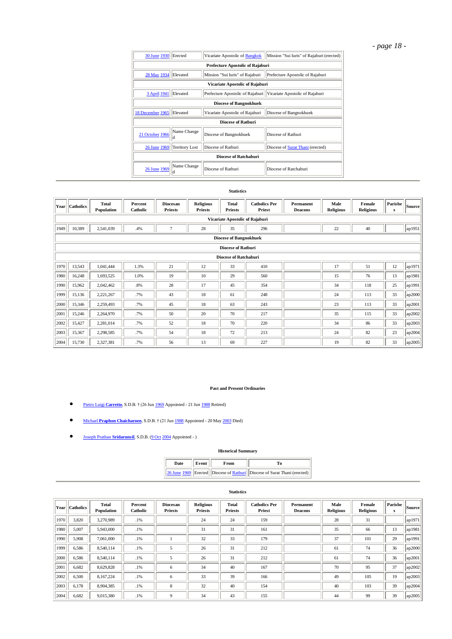# *- page 18 -*

| 30 June 1930                                                                                    | Erected                                 | Vicariate Apostolic of Bangkok   | Mission "Sui Iuris" of Rajaburi (erected) |  |  |  |  |  |  |  |
|-------------------------------------------------------------------------------------------------|-----------------------------------------|----------------------------------|-------------------------------------------|--|--|--|--|--|--|--|
|                                                                                                 | <b>Prefecture Apostolic of Rajaburi</b> |                                  |                                           |  |  |  |  |  |  |  |
| 28 May 1934                                                                                     | Elevated                                | Prefecture Apostolic of Rajaburi |                                           |  |  |  |  |  |  |  |
|                                                                                                 | Vicariate Apostolic of Rajaburi         |                                  |                                           |  |  |  |  |  |  |  |
| 3 April 1941<br>Elevated<br>Prefecture Apostolic of Rajaburi<br>Vicariate Apostolic of Rajaburi |                                         |                                  |                                           |  |  |  |  |  |  |  |
| <b>Diocese of Bangnokhuek</b>                                                                   |                                         |                                  |                                           |  |  |  |  |  |  |  |
| 18 December 1965                                                                                | Elevated                                | Vicariate Apostolic of Rajaburi  | Diocese of Bangnokhuek                    |  |  |  |  |  |  |  |
|                                                                                                 |                                         | <b>Diocese of Rathuri</b>        |                                           |  |  |  |  |  |  |  |
| 21 October 1966                                                                                 | Name Change<br>ld                       | Diocese of Bangnokhuek           | Diocese of Ratburi                        |  |  |  |  |  |  |  |
| 26 June 1969                                                                                    | <b>Territory Lost</b>                   | Diocese of Ratburi               | Diocese of Surat Thani (erected)          |  |  |  |  |  |  |  |
|                                                                                                 |                                         | <b>Diocese of Ratchaburi</b>     |                                           |  |  |  |  |  |  |  |
| 26 June 1969                                                                                    | Name Change<br>Id                       | Diocese of Rathuri               | Diocese of Ratchaburi                     |  |  |  |  |  |  |  |

#### **Statistics**

| Year | <b>Catholics</b>                | <b>Total</b><br>Population | Percent<br>Catholic | Diocesan<br><b>Priests</b> | <b>Religious</b><br><b>Priests</b> | <b>Total</b><br><b>Priests</b> | <b>Catholics Per</b><br>Priest | Permanent<br><b>Deacons</b> | Male<br><b>Religious</b> | Female<br><b>Religious</b> | Parishe<br>${\bf s}$ | Source                        |  |
|------|---------------------------------|----------------------------|---------------------|----------------------------|------------------------------------|--------------------------------|--------------------------------|-----------------------------|--------------------------|----------------------------|----------------------|-------------------------------|--|
|      | Vicariate Apostolic of Rajaburi |                            |                     |                            |                                    |                                |                                |                             |                          |                            |                      |                               |  |
| 1949 | 10,389                          | 2,541,039                  | .4%                 | $\overline{7}$             | 28                                 | 35                             | 296                            |                             | 22                       | 40                         |                      | $\lceil \text{ap1951} \rceil$ |  |
|      | <b>Diocese of Bangnokhuek</b>   |                            |                     |                            |                                    |                                |                                |                             |                          |                            |                      |                               |  |
|      | <b>Diocese of Ratburi</b>       |                            |                     |                            |                                    |                                |                                |                             |                          |                            |                      |                               |  |
|      | <b>Diocese of Ratchaburi</b>    |                            |                     |                            |                                    |                                |                                |                             |                          |                            |                      |                               |  |
| 1970 | 13,543                          | 1,041,444                  | 1.3%                | 21                         | 12                                 | 33                             | 410                            |                             | 17                       | 51                         | 12                   | ap1971                        |  |
| 1980 | 16,248                          | 1,693,525                  | 1.0%                | 19                         | 10                                 | 29                             | 560                            |                             | 15                       | 76                         | 13                   | ap1981                        |  |
| 1990 | 15,962                          | 2,042,462                  | .8%                 | 28                         | 17                                 | 45                             | 354                            |                             | 34                       | 118                        | 25                   | lap1991                       |  |
| 1999 | 15,136                          | 2,221,267                  | .7%                 | 43                         | 18                                 | 61                             | 248                            |                             | 24                       | 113                        | 33                   | ap2000                        |  |
| 2000 | 15,346                          | 2,259,493                  | .7%                 | 45                         | 18                                 | 63                             | 243                            |                             | 23                       | 113                        | 33                   | ap2001                        |  |
| 2001 | 15,246                          | 2,264,970                  | .7%                 | 50                         | 20                                 | 70                             | 217                            |                             | 35                       | 115                        | 33                   | ap2002                        |  |
| 2002 | 15,427                          | 2,281,014                  | .7%                 | 52                         | 18                                 | 70                             | 220                            |                             | 34                       | 86                         | 33                   | ap2003                        |  |
| 2003 | 15,367                          | 2,298,585                  | .7%                 | 54                         | 18                                 | 72                             | 213                            |                             | 24                       | 82                         | 23                   | ap2004                        |  |
| 2004 | 15,730                          | 2,327,381                  | .7%                 | 56                         | 13                                 | 69                             | 227                            |                             | 19                       | 82                         | 33                   | ap2005                        |  |

#### **Past and Present Ordinaries**

- [Pietro Luigi](http://www.catholic-hierarchy.org/bishop/bcarretto.html) **Carretto**, S.D.B. † (26 Ju[n 1969](http://www.catholic-hierarchy.org/events/b1969f.html) Appointed 21 Ju[n 1988](http://www.catholic-hierarchy.org/events/b1988c.html) Retired)
- Michael **[Praphon Chaicharoen](http://www.catholic-hierarchy.org/bishop/bpraphon.html)**, S.D.B. † (21 Ju[n 1988](http://www.catholic-hierarchy.org/events/b1988c.html) Appointed 20 Ma[y 2003](http://www.catholic-hierarchy.org/events/b2003e.html) Died)
- [Joseph Prathan](http://www.catholic-hierarchy.org/bishop/bsrid.html) **Sridarunsil**, S.D.B. [\(9 Oct](http://www.catholic-hierarchy.org/events/bay1009.html) [2004](http://www.catholic-hierarchy.org/events/b2004e.html) Appointed )

#### **Historical Summary**

| Date | Event | From | ľо                                                                       |  |  |  |  |
|------|-------|------|--------------------------------------------------------------------------|--|--|--|--|
|      |       |      | 26 June 1969 Erected Diocese of Ratburi Diocese of Surat Thani (erected) |  |  |  |  |

|      | Year Catholics | <b>Total</b><br>Population | Percent<br>Catholic | <b>Diocesan</b><br><b>Priests</b> | <b>Religious</b><br><b>Priests</b> | Total<br><b>Priests</b> | <b>Catholics Per</b><br>Priest | Permanent<br><b>Deacons</b> | Male<br><b>Religious</b> | Female<br><b>Religious</b> | Parishe<br>s | Source |
|------|----------------|----------------------------|---------------------|-----------------------------------|------------------------------------|-------------------------|--------------------------------|-----------------------------|--------------------------|----------------------------|--------------|--------|
| 1970 | 3.820          | 3,270,989                  | .1%                 |                                   | 24                                 | 24                      | 159                            |                             | 28                       | 31                         |              | ap1971 |
| 1980 | 5,007          | 5,943,000                  | .1%                 |                                   | 31                                 | 31                      | 161                            |                             | 35                       | 66                         | 13           | ap1981 |
| 1990 | 5.908          | 7,061,000                  | .1%                 |                                   | 32                                 | 33                      | 179                            |                             | 37                       | 101                        | 29           | ap1991 |
| 1999 | 6,586          | 8,540,114                  | .1%                 | 5                                 | 26                                 | 31                      | 212                            |                             | 61                       | 74                         | 36           | ap2000 |
| 2000 | 6,586          | 8,540,114                  | .1%                 | 5                                 | 26                                 | 31                      | 212                            |                             | 61                       | 74                         | 36           | ap2001 |
| 2001 | 6,682          | 8,629,828                  | .1%                 | 6                                 | 34                                 | 40                      | 167                            |                             | 70                       | 95                         | 37           | ap2002 |
| 2002 | 6,500          | 8,167,224                  | .1%                 | 6                                 | 33                                 | 39                      | 166                            |                             | 49                       | 105                        | 19           | ap2003 |
| 2003 | 6.178          | 8,904,385                  | .1%                 | 8                                 | 32                                 | 40                      | 154                            |                             | 40                       | 103                        | 39           | ap2004 |
| 2004 | 6,682          | 9,015,380                  | .1%                 | 9                                 | 34                                 | 43                      | 155                            |                             | 44                       | 99                         | 39           | ap2005 |